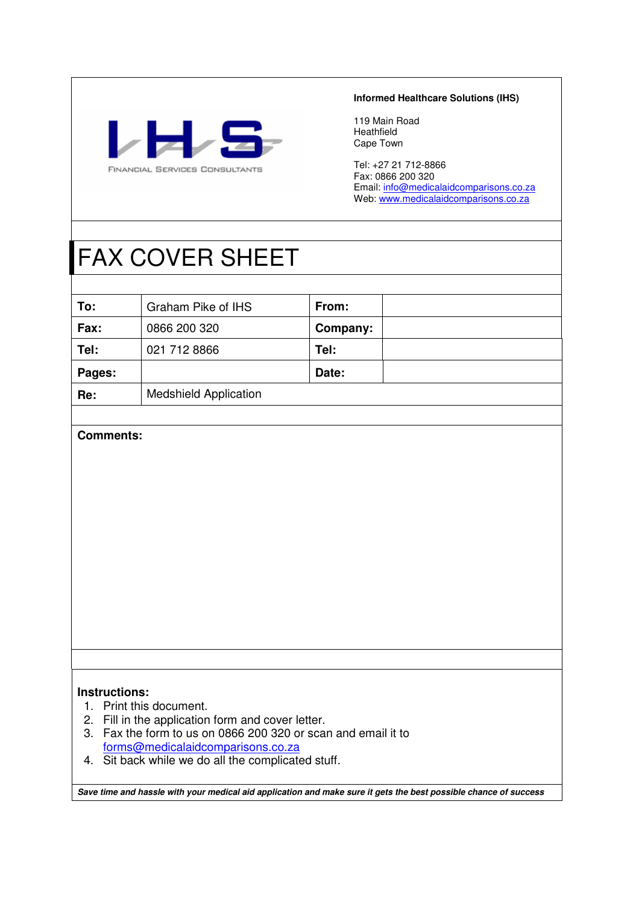

#### **Informed Healthcare Solutions (IHS)**

119 Main Road Heathfield Cape Town

Tel: +27 21 712-8866 Fax: 0866 200 320 Email: info@medicalaidcomparisons.co.za Web: www.medicalaidcomparisons.co.za

# FAX COVER SHEET

| To:    | Graham Pike of IHS           | From:    |  |
|--------|------------------------------|----------|--|
| Fax:   | 0866 200 320                 | Company: |  |
| Tel:   | 021 712 8866                 | Tel:     |  |
| Pages: |                              | Date:    |  |
| Re:    | <b>Medshield Application</b> |          |  |

#### **Comments:**

#### **Instructions:**

- 1. Print this document.
- 2. Fill in the application form and cover letter.
- 3. Fax the form to us on 0866 200 320 or scan and email it to forms@medicalaidcomparisons.co.za
- 4. Sit back while we do all the complicated stuff.

**Save time and hassle with your medical aid application and make sure it gets the best possible chance of success**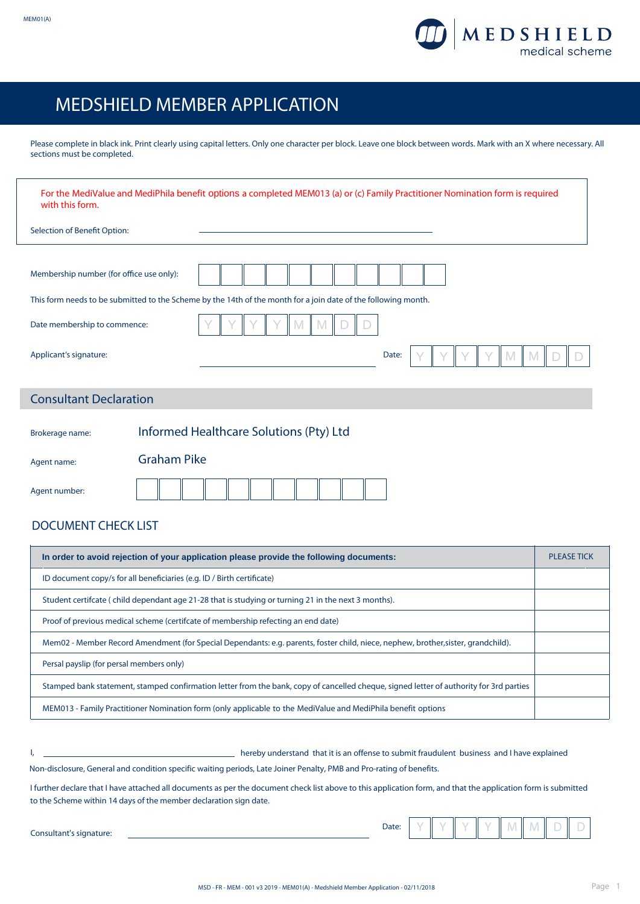

h

## MEDSHIELD MEMBER APPLICATION

Please complete in black ink. Print clearly using capital letters. Only one character per block. Leave one block between words. Mark with an X where necessary. All sections must be completed.

| with this form.                          | For the MediValue and MediPhila benefit options a completed MEM013 (a) or (c) Family Practitioner Nomination form is required |
|------------------------------------------|-------------------------------------------------------------------------------------------------------------------------------|
| Selection of Benefit Option:             |                                                                                                                               |
|                                          |                                                                                                                               |
| Membership number (for office use only): |                                                                                                                               |
|                                          | This form needs to be submitted to the Scheme by the 14th of the month for a join date of the following month.                |
| Date membership to commence:             |                                                                                                                               |
| Applicant's signature:                   | Date:                                                                                                                         |
|                                          |                                                                                                                               |
| <b>Consultant Declaration</b>            |                                                                                                                               |
| Brokerage name:                          | Informed Healthcare Solutions (Pty) Ltd                                                                                       |
| Agent name:                              | <b>Graham Pike</b>                                                                                                            |
| Agent number:                            |                                                                                                                               |
| <b>DOCUMENT CHECK LIST</b>               |                                                                                                                               |

| In order to avoid rejection of your application please provide the following documents:                                                 | <b>PLEASE TICK</b> |
|-----------------------------------------------------------------------------------------------------------------------------------------|--------------------|
| ID document copy/s for all beneficiaries (e.g. ID / Birth certificate)                                                                  |                    |
| Student certifcate (child dependant age 21-28 that is studying or turning 21 in the next 3 months).                                     |                    |
| Proof of previous medical scheme (certifcate of membership refecting an end date)                                                       |                    |
| Mem02 - Member Record Amendment (for Special Dependants: e.g. parents, foster child, niece, nephew, brother, sister, grandchild).       |                    |
| Persal payslip (for persal members only)                                                                                                |                    |
| Stamped bank statement, stamped confirmation letter from the bank, copy of cancelled cheque, signed letter of authority for 3rd parties |                    |
| MEM013 - Family Practitioner Nomination form (only applicable to the MediValue and MediPhila benefit options                            |                    |

I, hereby understand that it is an offense to submit fraudulent business and I have explained

Non-disclosure, General and condition specific waiting periods, Late Joiner Penalty, PMB and Pro-rating of benefits.

I further declare that I have attached all documents as per the document check list above to this application form, and that the application form is submitted to the Scheme within 14 days of the member declaration sign date.

Consultant's signature:

Date:  $Y$   $Y$   $Y$   $Y$   $Y$   $Y$   $M$   $M$   $D$   $D$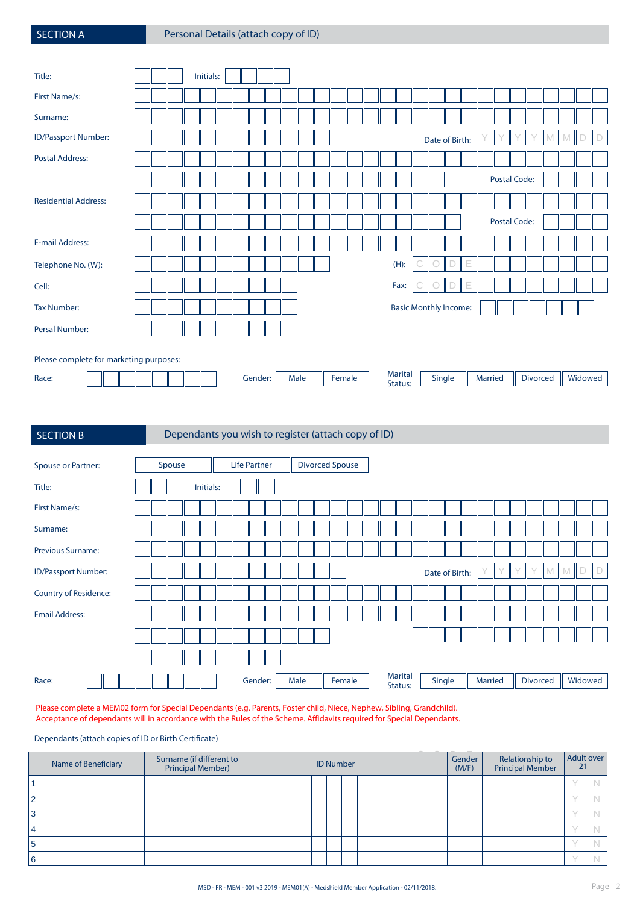| <b>SECTION A</b> |  |  |
|------------------|--|--|
|                  |  |  |

| Title:                                  |  |  | Initials: |  |         |  |      |  |        |  |                              |   |                |        |                             |         |              |                 |   |   |   |         |
|-----------------------------------------|--|--|-----------|--|---------|--|------|--|--------|--|------------------------------|---|----------------|--------|-----------------------------|---------|--------------|-----------------|---|---|---|---------|
| First Name/s:                           |  |  |           |  |         |  |      |  |        |  |                              |   |                |        |                             |         |              |                 |   |   |   |         |
| Surname:                                |  |  |           |  |         |  |      |  |        |  |                              |   |                |        |                             |         |              |                 |   |   |   |         |
| ID/Passport Number:                     |  |  |           |  |         |  |      |  |        |  |                              |   | Date of Birth: |        |                             |         |              |                 | M | M | D | $\Box$  |
| <b>Postal Address:</b>                  |  |  |           |  |         |  |      |  |        |  |                              |   |                |        |                             |         |              |                 |   |   |   |         |
|                                         |  |  |           |  |         |  |      |  |        |  |                              |   |                |        |                             |         | Postal Code: |                 |   |   |   |         |
| <b>Residential Address:</b>             |  |  |           |  |         |  |      |  |        |  |                              |   |                |        |                             |         |              |                 |   |   |   |         |
|                                         |  |  |           |  |         |  |      |  |        |  |                              |   |                |        |                             |         | Postal Code: |                 |   |   |   |         |
| <b>E-mail Address:</b>                  |  |  |           |  |         |  |      |  |        |  |                              |   |                |        |                             |         |              |                 |   |   |   |         |
| Telephone No. (W):                      |  |  |           |  |         |  |      |  |        |  | $(H)$ :                      |   |                | D      | E                           |         |              |                 |   |   |   |         |
| Cell:                                   |  |  |           |  |         |  |      |  |        |  | Fax:                         | G | $\circ$        | $\Box$ | $\mathsf{E}% _{\mathsf{H}}$ |         |              |                 |   |   |   |         |
| <b>Tax Number:</b>                      |  |  |           |  |         |  |      |  |        |  | <b>Basic Monthly Income:</b> |   |                |        |                             |         |              |                 |   |   |   |         |
| Persal Number:                          |  |  |           |  |         |  |      |  |        |  |                              |   |                |        |                             |         |              |                 |   |   |   |         |
|                                         |  |  |           |  |         |  |      |  |        |  |                              |   |                |        |                             |         |              |                 |   |   |   |         |
| Please complete for marketing purposes: |  |  |           |  |         |  |      |  |        |  |                              |   |                |        |                             |         |              |                 |   |   |   |         |
| Race:                                   |  |  |           |  | Gender: |  | Male |  | Female |  | <b>Marital</b><br>Status:    |   | Single         |        |                             | Married |              | <b>Divorced</b> |   |   |   | Widowed |

| <b>SECTION B</b>         | Dependants you wish to register (attach copy of ID)                                                   |         |
|--------------------------|-------------------------------------------------------------------------------------------------------|---------|
|                          |                                                                                                       |         |
| Spouse or Partner:       | <b>Divorced Spouse</b><br>Spouse<br><b>Life Partner</b>                                               |         |
| Title:                   | Initials:                                                                                             |         |
| First Name/s:            |                                                                                                       |         |
| Surname:                 |                                                                                                       |         |
| <b>Previous Surname:</b> |                                                                                                       |         |
| ID/Passport Number:      | Date of Birth:                                                                                        |         |
| Country of Residence:    |                                                                                                       |         |
| <b>Email Address:</b>    |                                                                                                       |         |
|                          |                                                                                                       |         |
|                          |                                                                                                       |         |
| Race:                    | <b>Marital</b><br>Gender:<br>Female<br>Single<br><b>Divorced</b><br>Male<br><b>Married</b><br>Status: | Widowed |

Please complete a MEM02 form for Special Dependants (e.g. Parents, Foster child, Niece, Nephew, Sibling, Grandchild). Acceptance of dependants will in accordance with the Rules of the Scheme. Affidavits required for Special Dependants.

Dependants (attach copies of ID or Birth Certificate)

|     | Name of Beneficiary | Surname (if different to<br>Principal Member) |  |  | <b>ID Number</b> |  |  |  | Gender<br>(M/F) | Relationship to<br>Principal Member | Adult over<br>21 |  |
|-----|---------------------|-----------------------------------------------|--|--|------------------|--|--|--|-----------------|-------------------------------------|------------------|--|
|     |                     |                                               |  |  |                  |  |  |  |                 |                                     |                  |  |
| - 2 |                     |                                               |  |  |                  |  |  |  |                 |                                     |                  |  |
| 3   |                     |                                               |  |  |                  |  |  |  |                 |                                     |                  |  |
|     |                     |                                               |  |  |                  |  |  |  |                 |                                     |                  |  |
| 5   |                     |                                               |  |  |                  |  |  |  |                 |                                     |                  |  |
| 6   |                     |                                               |  |  |                  |  |  |  |                 |                                     |                  |  |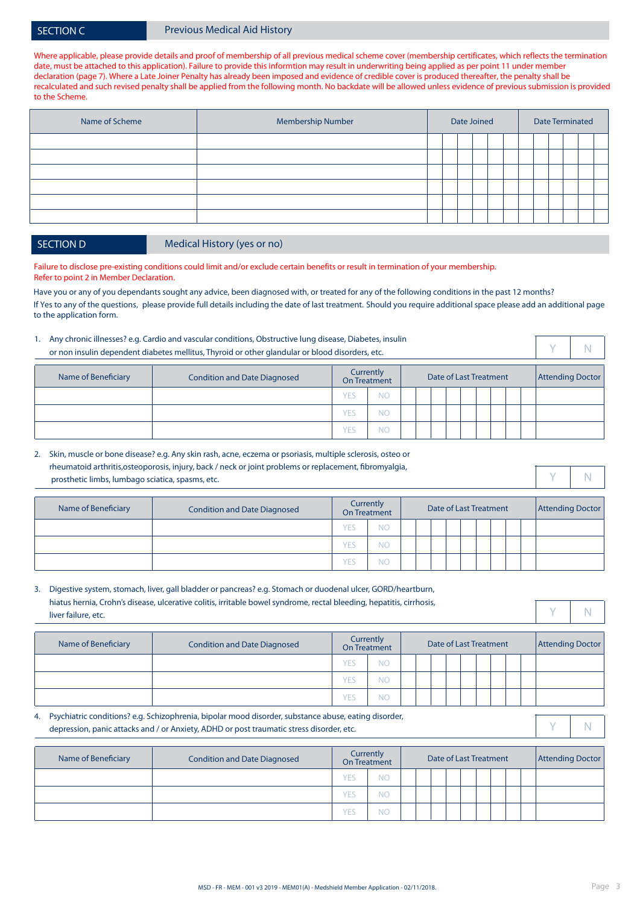#### SECTION C **Previous Medical Aid History**

Where applicable, please provide details and proof of membership of all previous medical scheme cover (membership certificates, which reflects the termination date, must be attached to this application). Failure to provide this informtion may result in underwriting being applied as per point 11 under member declaration (page 7). Where a Late Joiner Penalty has already been imposed and evidence of credible cover is produced thereafter, the penalty shall be recalculated and such revised penalty shall be applied from the following month. No backdate will be allowed unless evidence of previous submission is provided to the Scheme.

| Name of Scheme | <b>Membership Number</b> |  | Date Joined |  |  |  | <b>Date Terminated</b> |  |
|----------------|--------------------------|--|-------------|--|--|--|------------------------|--|
|                |                          |  |             |  |  |  |                        |  |
|                |                          |  |             |  |  |  |                        |  |
|                |                          |  |             |  |  |  |                        |  |
|                |                          |  |             |  |  |  |                        |  |
|                |                          |  |             |  |  |  |                        |  |
|                |                          |  |             |  |  |  |                        |  |
|                |                          |  |             |  |  |  |                        |  |

SECTION D Medical History (yes or no)

Failure to disclose pre-existing conditions could limit and/or exclude certain benefits or result in termination of your membership. Refer to point 2 in Member Declaration.

Have you or any of you dependants sought any advice, been diagnosed with, or treated for any of the following conditions in the past 12 months? If Yes to any of the questions, please provide full details including the date of last treatment. Should you require additional space please add an additional page to the application form.

|                     | 1. Any chronic illnesses? e.g. Cardio and vascular conditions, Obstructive lung disease, Diabetes, insulin<br>or non insulin dependent diabetes mellitus, Thyroid or other glandular or blood disorders, etc. |     |                                  |  |                        |  |  |                         |  |
|---------------------|---------------------------------------------------------------------------------------------------------------------------------------------------------------------------------------------------------------|-----|----------------------------------|--|------------------------|--|--|-------------------------|--|
| Name of Beneficiary | <b>Condition and Date Diagnosed</b>                                                                                                                                                                           |     | Currently<br><b>On Treatment</b> |  | Date of Last Treatment |  |  | <b>Attending Doctor</b> |  |
|                     |                                                                                                                                                                                                               | ſΕ. | <b>NC</b>                        |  |                        |  |  |                         |  |
|                     |                                                                                                                                                                                                               | ſΕ. | ΝC                               |  |                        |  |  |                         |  |

YES NO

| 2. Skin, muscle or bone disease? e.g. Any skin rash, acne, eczema or psoriasis, multiple sclerosis, osteo or |
|--------------------------------------------------------------------------------------------------------------|
| rheumatoid arthritis, osteoporosis, injury, back / neck or joint problems or replacement, fibromyalgia,      |
| prosthetic limbs, lumbago sciatica, spasms, etc.                                                             |

| Name of Beneficiary | <b>Condition and Date Diagnosed</b> |            | Currently<br>On Treatment |  | Date of Last Treatment |  |  | <b>Attending Doctor</b> |
|---------------------|-------------------------------------|------------|---------------------------|--|------------------------|--|--|-------------------------|
|                     |                                     | <b>YES</b> | NΟ                        |  |                        |  |  |                         |
|                     |                                     | <b>YES</b> | NO                        |  |                        |  |  |                         |
|                     |                                     | <b>YES</b> | NO                        |  |                        |  |  |                         |

| Name of Beneficiary | <b>Condition and Date Diagnosed</b> |            | Currently<br><b>On Treatment</b> | Date of Last Treatment |  |  | <b>Attending Doctor</b> |  |
|---------------------|-------------------------------------|------------|----------------------------------|------------------------|--|--|-------------------------|--|
|                     |                                     | <b>YES</b> | <b>NO</b>                        |                        |  |  |                         |  |
|                     |                                     | <b>YES</b> | <b>NO</b>                        |                        |  |  |                         |  |
|                     |                                     | <b>YES</b> | <b>NO</b>                        |                        |  |  |                         |  |

| Name of Beneficiary | <b>Condition and Date Diagnosed</b> |     | Currently<br>On Treatment |  | Date of Last Treatment |  |  |  | <b>Attending Doctor</b> |
|---------------------|-------------------------------------|-----|---------------------------|--|------------------------|--|--|--|-------------------------|
|                     |                                     | YES | NO                        |  |                        |  |  |  |                         |
|                     |                                     | YES | NО                        |  |                        |  |  |  |                         |
|                     |                                     | YES | NО                        |  |                        |  |  |  |                         |

Y N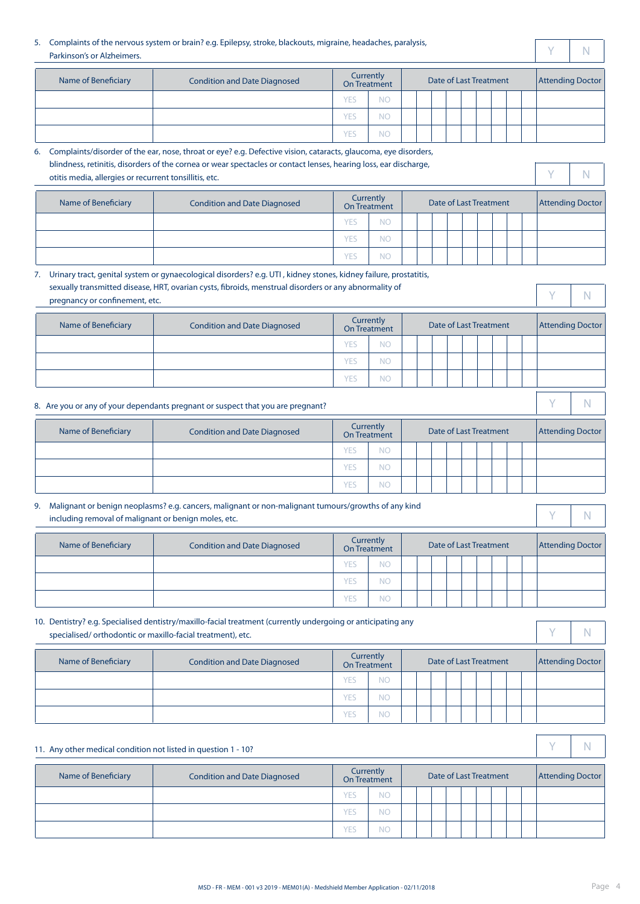#### 5. Complaints of the nervous system or brain? e.g. Epilepsy, stroke, blackouts, migraine, headaches, paralysis, Parkinson's or Alzheimers.

| Name of Beneficiary | <b>Condition and Date Diagnosed</b> |            | Currently<br>On Treatment |  | Date of Last Treatment |  |  |  | <b>Attending Doctor</b> |
|---------------------|-------------------------------------|------------|---------------------------|--|------------------------|--|--|--|-------------------------|
|                     |                                     | YES        | <b>NC</b>                 |  |                        |  |  |  |                         |
|                     |                                     | YES        | <b>NC</b>                 |  |                        |  |  |  |                         |
|                     |                                     | <b>YES</b> | <b>NC</b>                 |  |                        |  |  |  |                         |

| 6. Complaints/disorder of the ear, nose, throat or eye? e.g. Defective vision, cataracts, glaucoma, eye disorders, |
|--------------------------------------------------------------------------------------------------------------------|
| blindness, retinitis, disorders of the cornea or wear spectacles or contact lenses, hearing loss, ear discharge,   |
| otitis media, allergies or recurrent tonsillitis, etc.                                                             |

| rently<br>والمستورث والمتعارفات | Date of Last Treatment | <b>Attending Doctor</b> |  |
|---------------------------------|------------------------|-------------------------|--|

Y N

| Name of Beneficiary | <b>Condition and Date Diagnosed</b> |     | Currently<br>On Treatment |  | Date of Last Treatment |  |  | <b>Attending Doctor</b> |
|---------------------|-------------------------------------|-----|---------------------------|--|------------------------|--|--|-------------------------|
|                     |                                     | YES | ΝC                        |  |                        |  |  |                         |
|                     |                                     | YES | NΟ                        |  |                        |  |  |                         |
|                     |                                     | YES | ΝC                        |  |                        |  |  |                         |

|                                                            | 7. Urinary tract, genital system or gynaecological disorders? e.g. UTI, kidney stones, kidney failure, prostatitis, |            |                                  |  |                               |  |  |   |                         |
|------------------------------------------------------------|---------------------------------------------------------------------------------------------------------------------|------------|----------------------------------|--|-------------------------------|--|--|---|-------------------------|
| pregnancy or confinement, etc.                             | sexually transmitted disease, HRT, ovarian cysts, fibroids, menstrual disorders or any abnormality of               |            |                                  |  |                               |  |  | V | N                       |
| <b>Name of Beneficiary</b>                                 | <b>Condition and Date Diagnosed</b>                                                                                 |            | Currently<br>On Treatment        |  | <b>Date of Last Treatment</b> |  |  |   | <b>Attending Doctor</b> |
|                                                            |                                                                                                                     | <b>YES</b> | <b>NO</b>                        |  |                               |  |  |   |                         |
|                                                            |                                                                                                                     | <b>YES</b> | <b>NO</b>                        |  |                               |  |  |   |                         |
|                                                            |                                                                                                                     | <b>YES</b> | <b>NO</b>                        |  |                               |  |  |   |                         |
|                                                            | 8. Are you or any of your dependants pregnant or suspect that you are pregnant?                                     |            |                                  |  |                               |  |  | V | N                       |
| Name of Beneficiary                                        | <b>Condition and Date Diagnosed</b>                                                                                 |            | Currently<br>On Treatment        |  | <b>Date of Last Treatment</b> |  |  |   | <b>Attending Doctor</b> |
|                                                            |                                                                                                                     | <b>YES</b> | <b>NO</b>                        |  |                               |  |  |   |                         |
|                                                            |                                                                                                                     | <b>YES</b> | <b>NO</b>                        |  |                               |  |  |   |                         |
|                                                            |                                                                                                                     | <b>YES</b> | <b>NO</b>                        |  |                               |  |  |   |                         |
| 9.<br>including removal of malignant or benign moles, etc. | Malignant or benign neoplasms? e.g. cancers, malignant or non-malignant tumours/growths of any kind                 |            |                                  |  |                               |  |  | v | N                       |
| Name of Beneficiary                                        | <b>Condition and Date Diagnosed</b>                                                                                 |            | Currently<br><b>On Treatment</b> |  | <b>Date of Last Treatment</b> |  |  |   | <b>Attending Doctor</b> |
|                                                            |                                                                                                                     | <b>YES</b> | NO <sub>1</sub>                  |  |                               |  |  |   |                         |
|                                                            |                                                                                                                     | <b>YES</b> | <b>NO</b>                        |  |                               |  |  |   |                         |
|                                                            |                                                                                                                     | <b>YES</b> | <b>NO</b>                        |  |                               |  |  |   |                         |

#### 10. Dentistry? e.g. Specialised dentistry/maxillo-facial treatment (currently undergoing or anticipating any specialised/ orthodontic or maxillo-facial treatment), etc.

| Name of Beneficiary | <b>Condition and Date Diagnosed</b> |            | <b>Currently</b><br>On Treatment |  | Date of Last Treatment |  |  | <b>Attending Doctor</b> |
|---------------------|-------------------------------------|------------|----------------------------------|--|------------------------|--|--|-------------------------|
|                     |                                     | <b>YES</b> | <b>NO</b>                        |  |                        |  |  |                         |
|                     |                                     | <b>YES</b> | <b>NO</b>                        |  |                        |  |  |                         |
|                     |                                     | YES.       | <b>NO</b>                        |  |                        |  |  |                         |

| 11. Any other medical condition not listed in question 1 - 10? |                                     |            |                           |  |  |                        |  |                         |  |
|----------------------------------------------------------------|-------------------------------------|------------|---------------------------|--|--|------------------------|--|-------------------------|--|
| Name of Beneficiary                                            | <b>Condition and Date Diagnosed</b> |            | Currently<br>On Treatment |  |  | Date of Last Treatment |  | <b>Attending Doctor</b> |  |
|                                                                |                                     | <b>YES</b> | <b>NO</b>                 |  |  |                        |  |                         |  |
|                                                                |                                     | <b>YES</b> | ΝC                        |  |  |                        |  |                         |  |
|                                                                |                                     | <b>YES</b> | ΝC                        |  |  |                        |  |                         |  |

Y N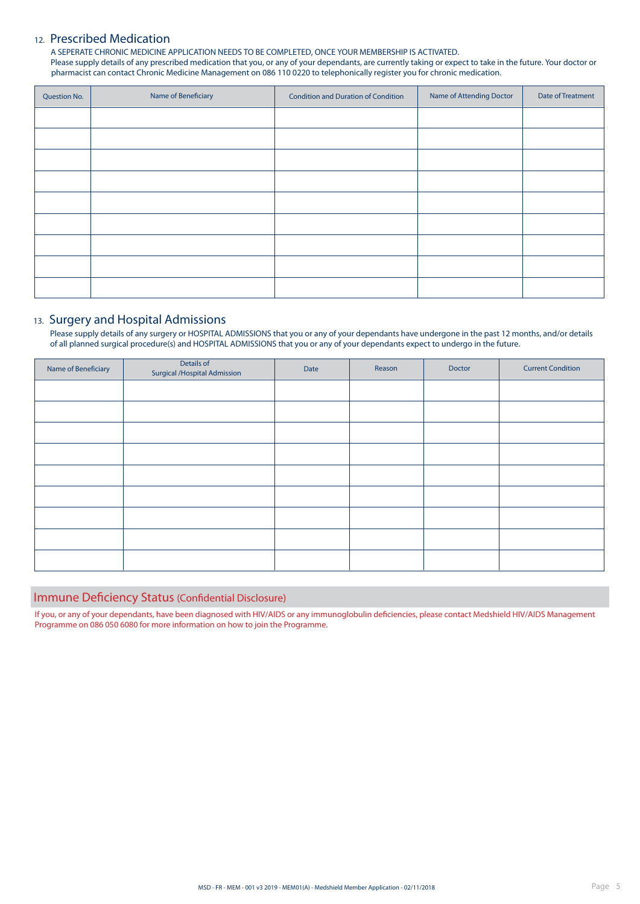#### 12. Prescribed Medication

A SEPERATE CHRONIC MEDICINE APPLICATION NEEDS TO BE COMPLETED, ONCE YOUR MEMBERSHIP IS ACTIVATED. Please supply details of any prescribed medication that you, or any of your dependants, are currently taking or expect to take in the future. Your doctor or pharmacist can contact Chronic Medicine Management on 086 110 0220 to telephonically register you for chronic medication.

| <b>Question No.</b> | Name of Beneficiary | <b>Condition and Duration of Condition</b> | Name of Attending Doctor | Date of Treatment |
|---------------------|---------------------|--------------------------------------------|--------------------------|-------------------|
|                     |                     |                                            |                          |                   |
|                     |                     |                                            |                          |                   |
|                     |                     |                                            |                          |                   |
|                     |                     |                                            |                          |                   |
|                     |                     |                                            |                          |                   |
|                     |                     |                                            |                          |                   |
|                     |                     |                                            |                          |                   |
|                     |                     |                                            |                          |                   |
|                     |                     |                                            |                          |                   |

#### 13. Surgery and Hospital Admissions

Please supply details of any surgery or HOSPITAL ADMISSIONS that you or any of your dependants have undergone in the past 12 months, and/or details of all planned surgical procedure(s) and HOSPITAL ADMISSIONS that you or any of your dependants expect to undergo in the future.

| Details of<br><b>Surgical / Hospital Admission</b> | Date | Reason | Doctor | <b>Current Condition</b> |
|----------------------------------------------------|------|--------|--------|--------------------------|
|                                                    |      |        |        |                          |
|                                                    |      |        |        |                          |
|                                                    |      |        |        |                          |
|                                                    |      |        |        |                          |
|                                                    |      |        |        |                          |
|                                                    |      |        |        |                          |
|                                                    |      |        |        |                          |
|                                                    |      |        |        |                          |
|                                                    |      |        |        |                          |
|                                                    |      |        |        |                          |

#### Immune Deficiency Status (Confidential Disclosure)

If you, or any of your dependants, have been diagnosed with HIV/AIDS or any immunoglobulin deficiencies, please contact Medshield HIV/AIDS Management Programme on 086 050 6080 for more information on how to join the Programme.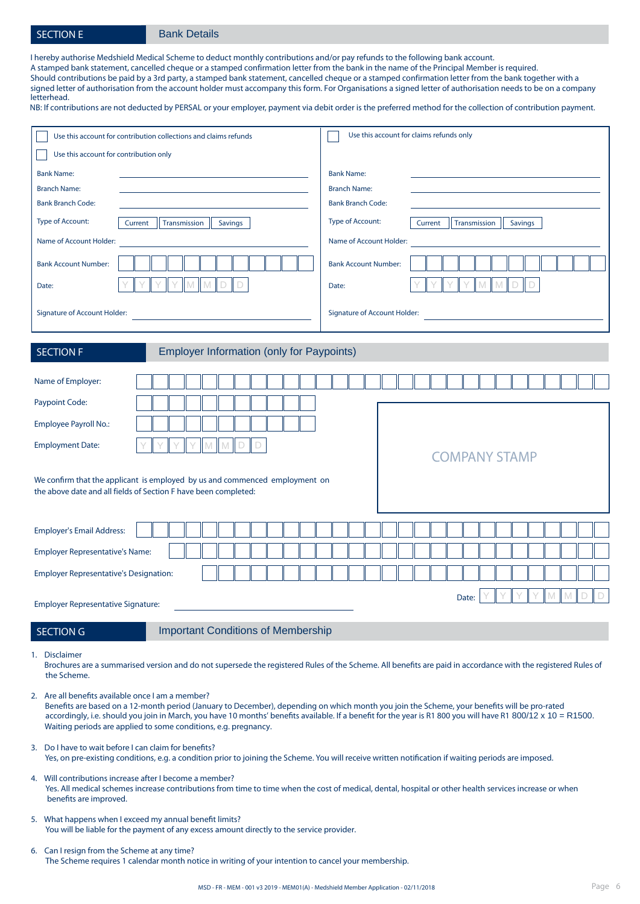#### SECTION E Bank Details

I hereby authorise Medshield Medical Scheme to deduct monthly contributions and/or pay refunds to the following bank account. A stamped bank statement, cancelled cheque or a stamped confirmation letter from the bank in the name of the Principal Member is required. Should contributions be paid by a 3rd party, a stamped bank statement, cancelled cheque or a stamped confirmation letter from the bank together with a signed letter of authorisation from the account holder must accompany this form. For Organisations a signed letter of authorisation needs to be on a company letterhead.

NB: If contributions are not deducted by PERSAL or your employer, payment via debit order is the preferred method for the collection of contribution payment.

| Use this account for contribution collections and claims refunds                                                                               | Use this account for claims refunds only                                  |
|------------------------------------------------------------------------------------------------------------------------------------------------|---------------------------------------------------------------------------|
| Use this account for contribution only                                                                                                         |                                                                           |
| <b>Bank Name:</b><br>the control of the control of the control of the control of the control of                                                | <b>Bank Name:</b>                                                         |
| <b>Branch Name:</b>                                                                                                                            | <b>Branch Name:</b>                                                       |
| <b>Bank Branch Code:</b>                                                                                                                       | <b>Bank Branch Code:</b>                                                  |
| Type of Account:<br>Transmission   Savings<br>Current                                                                                          | <b>Type of Account:</b><br>Transmission  <br>Savings<br>Current           |
| Name of Account Holder:                                                                                                                        | Name of Account Holder:                                                   |
| <b>Bank Account Number:</b>                                                                                                                    | <b>Bank Account Number:</b>                                               |
| $\mathbb M$<br>M<br>D<br>Date:                                                                                                                 | $\mathbb M$<br>$\mathbb M$<br>D<br>Date:                                  |
| Signature of Account Holder:                                                                                                                   | Signature of Account Holder: North State Communication of Account Holder: |
| <b>Employer Information (only for Paypoints)</b><br><b>SECTION F</b>                                                                           |                                                                           |
| Name of Employer:                                                                                                                              |                                                                           |
| Paypoint Code:                                                                                                                                 |                                                                           |
| Employee Payroll No.:                                                                                                                          |                                                                           |
| <b>Employment Date:</b>                                                                                                                        |                                                                           |
|                                                                                                                                                | <b>COMPANY STAMP</b>                                                      |
| We confirm that the applicant is employed by us and commenced employment on<br>the above date and all fields of Section F have been completed: |                                                                           |
|                                                                                                                                                |                                                                           |
| <b>Employer's Email Address:</b>                                                                                                               |                                                                           |
| <b>Employer Representative's Name:</b>                                                                                                         |                                                                           |
| <b>Employer Representative's Designation:</b>                                                                                                  |                                                                           |
|                                                                                                                                                | Date:                                                                     |
| <b>Employer Representative Signature:</b>                                                                                                      |                                                                           |
| <b>SECTION G</b><br><b>Important Conditions of Membership</b>                                                                                  |                                                                           |

1. Disclaimer

Brochures are a summarised version and do not supersede the registered Rules of the Scheme. All benefits are paid in accordance with the registered Rules of the Scheme.

2. Are all benefits available once I am a member?

Benefits are based on a 12-month period (January to December), depending on which month you join the Scheme, your benefits will be pro-rated accordingly, i.e. should you join in March, you have 10 months' benefits available. If a benefit for the year is R1 800 you will have R1 800/12 x 10 = R1500. Waiting periods are applied to some conditions, e.g. pregnancy.

- 3. Do I have to wait before I can claim for benefits? Yes, on pre-existing conditions, e.g. a condition prior to joining the Scheme. You will receive written notification if waiting periods are imposed.
- 4. Will contributions increase after I become a member? Yes. All medical schemes increase contributions from time to time when the cost of medical, dental, hospital or other health services increase or when benefits are improved.
- 5. What happens when I exceed my annual benefit limits? You will be liable for the payment of any excess amount directly to the service provider.
- 6. Can I resign from the Scheme at any time? The Scheme requires 1 calendar month notice in writing of your intention to cancel your membership.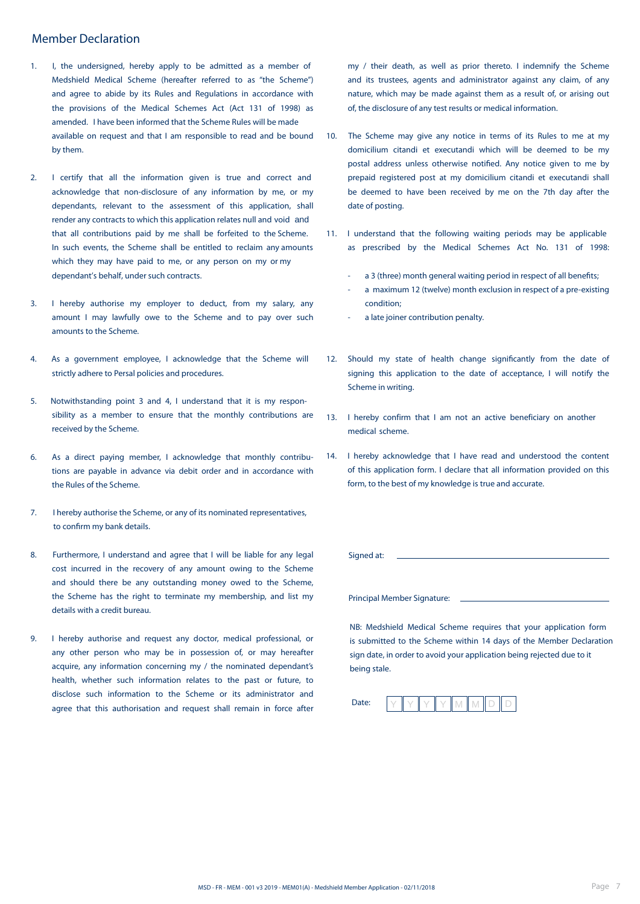#### Member Declaration

- 1. I, the undersigned, hereby apply to be admitted as a member of Medshield Medical Scheme (hereafter referred to as "the Scheme") and agree to abide by its Rules and Regulations in accordance with the provisions of the Medical Schemes Act (Act 131 of 1998) as amended. I have been informed that the Scheme Rules will be made available on request and that I am responsible to read and be bound by them.
- 2. I certify that all the information given is true and correct and acknowledge that non-disclosure of any information by me, or my dependants, relevant to the assessment of this application, shall render any contracts to which this application relates null and void and that all contributions paid by me shall be forfeited to the Scheme. In such events, the Scheme shall be entitled to reclaim any amounts which they may have paid to me, or any person on my or my dependant's behalf, under such contracts.
- 3. I hereby authorise my employer to deduct, from my salary, any amount I may lawfully owe to the Scheme and to pay over such amounts to the Scheme.
- 4. As a government employee, I acknowledge that the Scheme will strictly adhere to Persal policies and procedures.
- 5. Notwithstanding point 3 and 4, I understand that it is my responsibility as a member to ensure that the monthly contributions are received by the Scheme.
- 6. As a direct paying member, I acknowledge that monthly contributions are payable in advance via debit order and in accordance with the Rules of the Scheme.
- 7. I hereby authorise the Scheme, or any of its nominated representatives, to confirm my bank details.
- 8. Furthermore, I understand and agree that I will be liable for any legal cost incurred in the recovery of any amount owing to the Scheme and should there be any outstanding money owed to the Scheme, the Scheme has the right to terminate my membership, and list my details with a credit bureau.
- 9. I hereby authorise and request any doctor, medical professional, or any other person who may be in possession of, or may hereafter acquire, any information concerning my / the nominated dependant's health, whether such information relates to the past or future, to disclose such information to the Scheme or its administrator and agree that this authorisation and request shall remain in force after

my / their death, as well as prior thereto. I indemnify the Scheme and its trustees, agents and administrator against any claim, of any nature, which may be made against them as a result of, or arising out of, the disclosure of any test results or medical information.

- 10. The Scheme may give any notice in terms of its Rules to me at my domicilium citandi et executandi which will be deemed to be my postal address unless otherwise notified. Any notice given to me by prepaid registered post at my domicilium citandi et executandi shall be deemed to have been received by me on the 7th day after the date of posting.
- 11. I understand that the following waiting periods may be applicable as prescribed by the Medical Schemes Act No. 131 of 1998:
	- a 3 (three) month general waiting period in respect of all benefits;
	- a maximum 12 (twelve) month exclusion in respect of a pre-existing condition;
	- a late joiner contribution penalty.
- 12. Should my state of health change significantly from the date of signing this application to the date of acceptance, I will notify the Scheme in writing.
- 13. I hereby confirm that I am not an active beneficiary on another medical scheme.
- 14. I hereby acknowledge that I have read and understood the content of this application form. I declare that all information provided on this form, to the best of my knowledge is true and accurate.

Signed at:

Principal Member Signature:

NB: Medshield Medical Scheme requires that your application form is submitted to the Scheme within 14 days of the Member Declaration sign date, in order to avoid your application being rejected due to it being stale.